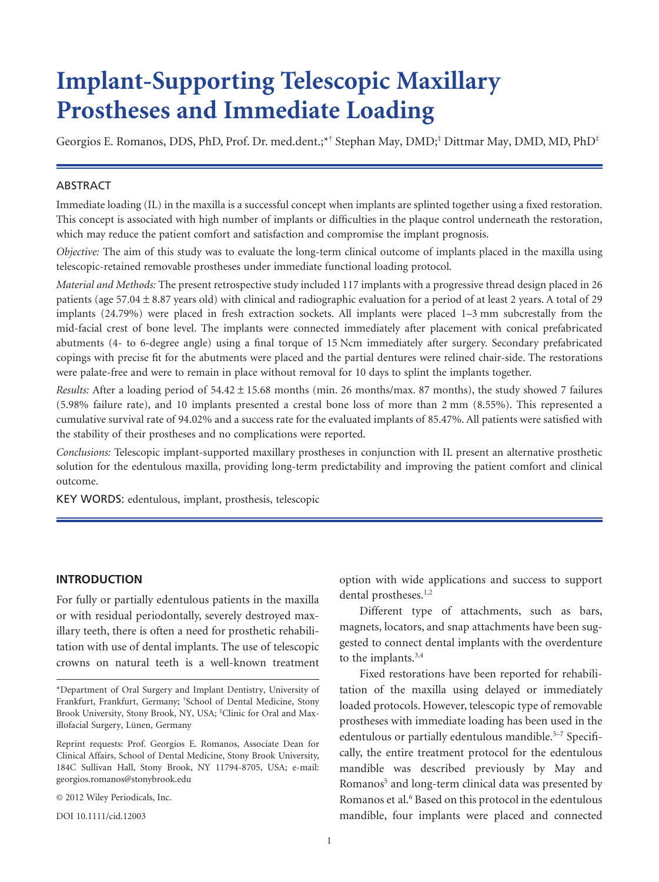# **Implant-Supporting Telescopic Maxillary Prostheses and Immediate Loading**

Georgios E. Romanos, DDS, PhD, Prof. Dr. med.dent.;\*† Stephan May, DMD;‡ Dittmar May, DMD, MD, PhD‡

#### ABSTRACT

Immediate loading (IL) in the maxilla is a successful concept when implants are splinted together using a fixed restoration. This concept is associated with high number of implants or difficulties in the plaque control underneath the restoration, which may reduce the patient comfort and satisfaction and compromise the implant prognosis.

*Objective:* The aim of this study was to evaluate the long-term clinical outcome of implants placed in the maxilla using telescopic-retained removable prostheses under immediate functional loading protocol.

*Material and Methods:* The present retrospective study included 117 implants with a progressive thread design placed in 26 patients (age 57.04 ± 8.87 years old) with clinical and radiographic evaluation for a period of at least 2 years. A total of 29 implants (24.79%) were placed in fresh extraction sockets. All implants were placed 1–3 mm subcrestally from the mid-facial crest of bone level. The implants were connected immediately after placement with conical prefabricated abutments (4- to 6-degree angle) using a final torque of 15 Ncm immediately after surgery. Secondary prefabricated copings with precise fit for the abutments were placed and the partial dentures were relined chair-side. The restorations were palate-free and were to remain in place without removal for 10 days to splint the implants together.

*Results:* After a loading period of 54.42 1 15.68 months (min. 26 months/max. 87 months), the study showed 7 failures (5.98% failure rate), and 10 implants presented a crestal bone loss of more than 2 mm (8.55%). This represented a cumulative survival rate of 94.02% and a success rate for the evaluated implants of 85.47%. All patients were satisfied with the stability of their prostheses and no complications were reported.

*Conclusions:* Telescopic implant-supported maxillary prostheses in conjunction with IL present an alternative prosthetic solution for the edentulous maxilla, providing long-term predictability and improving the patient comfort and clinical outcome.

KEY WORDS: edentulous, implant, prosthesis, telescopic

## **INTRODUCTION**

For fully or partially edentulous patients in the maxilla or with residual periodontally, severely destroyed maxillary teeth, there is often a need for prosthetic rehabilitation with use of dental implants. The use of telescopic crowns on natural teeth is a well-known treatment

© 2012 Wiley Periodicals, Inc.

DOI 10.1111/cid.12003

option with wide applications and success to support dental prostheses.<sup>1,2</sup>

Different type of attachments, such as bars, magnets, locators, and snap attachments have been suggested to connect dental implants with the overdenture to the implants.<sup>3,4</sup>

Fixed restorations have been reported for rehabilitation of the maxilla using delayed or immediately loaded protocols. However, telescopic type of removable prostheses with immediate loading has been used in the edentulous or partially edentulous mandible.<sup>5-7</sup> Specifically, the entire treatment protocol for the edentulous mandible was described previously by May and Romanos<sup>5</sup> and long-term clinical data was presented by Romanos et al.<sup>6</sup> Based on this protocol in the edentulous mandible, four implants were placed and connected

<sup>\*</sup>Department of Oral Surgery and Implant Dentistry, University of Frankfurt, Frankfurt, Germany; † School of Dental Medicine, Stony Brook University, Stony Brook, NY, USA; <sup>‡</sup>Clinic for Oral and Maxillofacial Surgery, Lünen, Germany

Reprint requests: Prof. Georgios E. Romanos, Associate Dean for Clinical Affairs, School of Dental Medicine, Stony Brook University, 184C Sullivan Hall, Stony Brook, NY 11794-8705, USA; e-mail: georgios.romanos@stonybrook.edu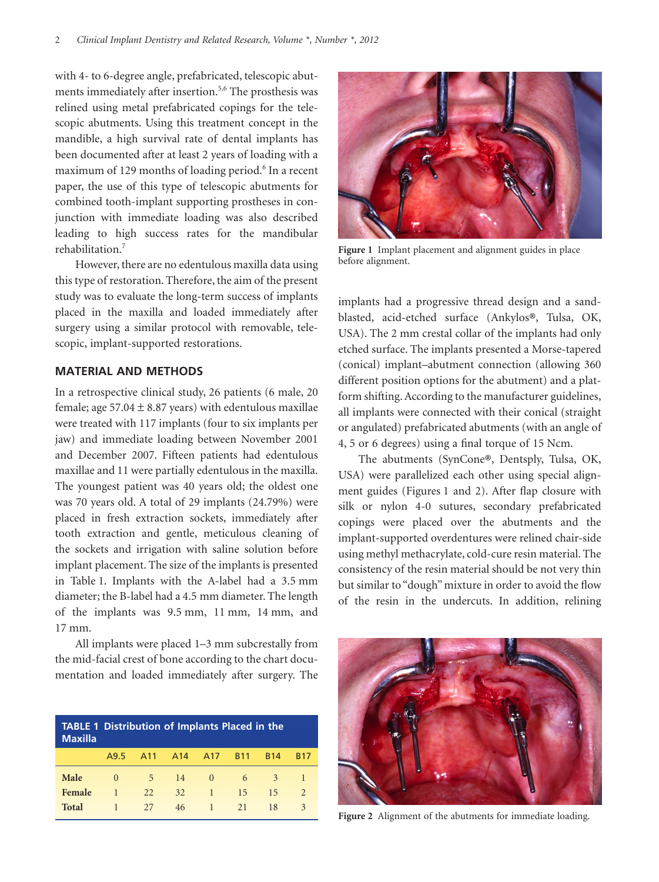with 4- to 6-degree angle, prefabricated, telescopic abutments immediately after insertion.<sup>5,6</sup> The prosthesis was relined using metal prefabricated copings for the telescopic abutments. Using this treatment concept in the mandible, a high survival rate of dental implants has been documented after at least 2 years of loading with a maximum of 129 months of loading period.<sup>6</sup> In a recent paper, the use of this type of telescopic abutments for combined tooth-implant supporting prostheses in conjunction with immediate loading was also described leading to high success rates for the mandibular rehabilitation.7

However, there are no edentulous maxilla data using this type of restoration. Therefore, the aim of the present study was to evaluate the long-term success of implants placed in the maxilla and loaded immediately after surgery using a similar protocol with removable, telescopic, implant-supported restorations.

## **MATERIAL AND METHODS**

In a retrospective clinical study, 26 patients (6 male, 20 female; age 57.04  $\pm$  8.87 years) with edentulous maxillae were treated with 117 implants (four to six implants per jaw) and immediate loading between November 2001 and December 2007. Fifteen patients had edentulous maxillae and 11 were partially edentulous in the maxilla. The youngest patient was 40 years old; the oldest one was 70 years old. A total of 29 implants (24.79%) were placed in fresh extraction sockets, immediately after tooth extraction and gentle, meticulous cleaning of the sockets and irrigation with saline solution before implant placement. The size of the implants is presented in Table 1. Implants with the A-label had a 3.5 mm diameter; the B-label had a 4.5 mm diameter. The length of the implants was 9.5 mm, 11 mm, 14 mm, and 17 mm.

All implants were placed 1–3 mm subcrestally from the mid-facial crest of bone according to the chart documentation and loaded immediately after surgery. The

| <b>TABLE 1 Distribution of Implants Placed in the</b><br><b>Maxilla</b> |              |                 |                 |                 |            |            |               |  |
|-------------------------------------------------------------------------|--------------|-----------------|-----------------|-----------------|------------|------------|---------------|--|
|                                                                         | A9.5         | A <sub>11</sub> | A <sub>14</sub> | A <sub>17</sub> | <b>B11</b> | <b>B14</b> | <b>B17</b>    |  |
| Male                                                                    | $\Omega$     | -5.             | 14              | $\Omega$        | 6          | 3          |               |  |
| Female                                                                  | $\mathbf{1}$ | 22              | 32              | 47              | 15         | 15         | $\mathcal{L}$ |  |
| <b>Total</b>                                                            |              | 27              | 46              | 47              | 21         | 18         | 3             |  |



**Figure 1** Implant placement and alignment guides in place before alignment.

implants had a progressive thread design and a sandblasted, acid-etched surface (Ankylos**®**, Tulsa, OK, USA). The 2 mm crestal collar of the implants had only etched surface. The implants presented a Morse-tapered (conical) implant–abutment connection (allowing 360 different position options for the abutment) and a platform shifting. According to the manufacturer guidelines, all implants were connected with their conical (straight or angulated) prefabricated abutments (with an angle of 4, 5 or 6 degrees) using a final torque of 15 Ncm.

The abutments (SynCone**®**, Dentsply, Tulsa, OK, USA) were parallelized each other using special alignment guides (Figures 1 and 2). After flap closure with silk or nylon 4-0 sutures, secondary prefabricated copings were placed over the abutments and the implant-supported overdentures were relined chair-side using methyl methacrylate, cold-cure resin material. The consistency of the resin material should be not very thin but similar to "dough" mixture in order to avoid the flow of the resin in the undercuts. In addition, relining



**Figure 2** Alignment of the abutments for immediate loading.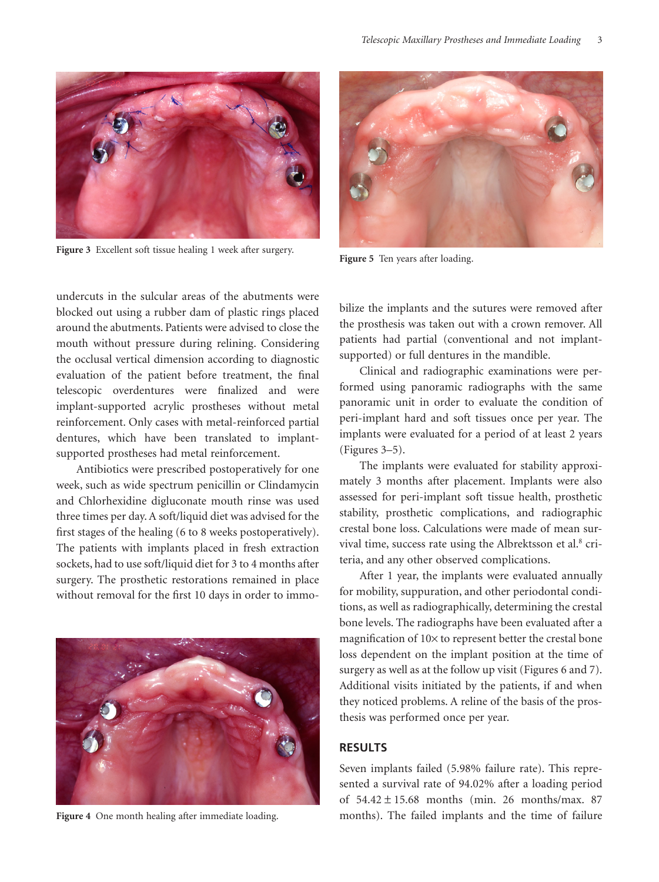

**Figure 3** Excellent soft tissue healing 1 week after surgery.



**Figure 5** Ten years after loading.

undercuts in the sulcular areas of the abutments were blocked out using a rubber dam of plastic rings placed around the abutments. Patients were advised to close the mouth without pressure during relining. Considering the occlusal vertical dimension according to diagnostic evaluation of the patient before treatment, the final telescopic overdentures were finalized and were implant-supported acrylic prostheses without metal reinforcement. Only cases with metal-reinforced partial dentures, which have been translated to implantsupported prostheses had metal reinforcement.

Antibiotics were prescribed postoperatively for one week, such as wide spectrum penicillin or Clindamycin and Chlorhexidine digluconate mouth rinse was used three times per day. A soft/liquid diet was advised for the first stages of the healing (6 to 8 weeks postoperatively). The patients with implants placed in fresh extraction sockets, had to use soft/liquid diet for 3 to 4 months after surgery. The prosthetic restorations remained in place without removal for the first 10 days in order to immo-



**Figure 4** One month healing after immediate loading.

bilize the implants and the sutures were removed after the prosthesis was taken out with a crown remover. All patients had partial (conventional and not implantsupported) or full dentures in the mandible.

Clinical and radiographic examinations were performed using panoramic radiographs with the same panoramic unit in order to evaluate the condition of peri-implant hard and soft tissues once per year. The implants were evaluated for a period of at least 2 years (Figures 3–5).

The implants were evaluated for stability approximately 3 months after placement. Implants were also assessed for peri-implant soft tissue health, prosthetic stability, prosthetic complications, and radiographic crestal bone loss. Calculations were made of mean survival time, success rate using the Albrektsson et al.<sup>8</sup> criteria, and any other observed complications.

After 1 year, the implants were evaluated annually for mobility, suppuration, and other periodontal conditions, as well as radiographically, determining the crestal bone levels. The radiographs have been evaluated after a magnification of 10× to represent better the crestal bone loss dependent on the implant position at the time of surgery as well as at the follow up visit (Figures 6 and 7). Additional visits initiated by the patients, if and when they noticed problems. A reline of the basis of the prosthesis was performed once per year.

### **RESULTS**

Seven implants failed (5.98% failure rate). This represented a survival rate of 94.02% after a loading period of  $54.42 \pm 15.68$  months (min. 26 months/max. 87 months). The failed implants and the time of failure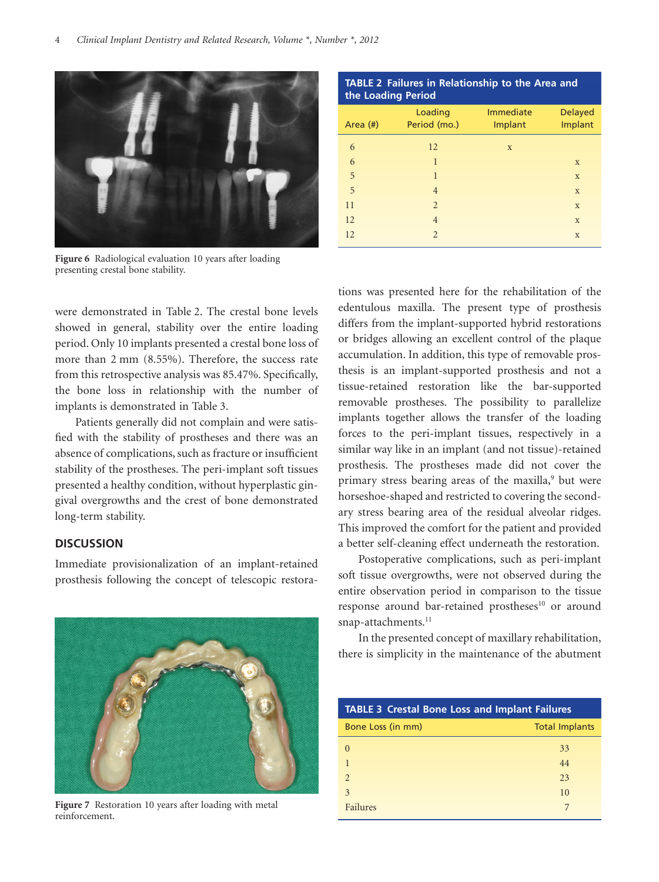

**Figure 6** Radiological evaluation 10 years after loading presenting crestal bone stability.

were demonstrated in Table 2. The crestal bone levels showed in general, stability over the entire loading period. Only 10 implants presented a crestal bone loss of more than 2 mm (8.55%). Therefore, the success rate from this retrospective analysis was 85.47%. Specifically, the bone loss in relationship with the number of implants is demonstrated in Table 3.

Patients generally did not complain and were satisfied with the stability of prostheses and there was an absence of complications, such as fracture or insufficient stability of the prostheses. The peri-implant soft tissues presented a healthy condition, without hyperplastic gingival overgrowths and the crest of bone demonstrated long-term stability.

### **DISCUSSION**

Immediate provisionalization of an implant-retained prosthesis following the concept of telescopic restora-



**Figure 7** Restoration 10 years after loading with metal reinforcement.

**TABLE 2 Failures in Relationship to the Area and the Loading Period**

| Area $(\#)$ | Loading<br>Period (mo.) | Immediate<br>Implant | <b>Delayed</b><br>Implant |
|-------------|-------------------------|----------------------|---------------------------|
| 6           | 12                      | X                    |                           |
| 6           | $\mathbf{1}$            |                      | $\mathbf X$               |
| 5           | $\mathbf{1}$            |                      | X                         |
| 5           | $\overline{4}$          |                      | X                         |
| 11          | $\overline{2}$          |                      | X                         |
| 12          | $\overline{4}$          |                      | X                         |
| 12          | $\overline{2}$          |                      | X                         |

tions was presented here for the rehabilitation of the edentulous maxilla. The present type of prosthesis differs from the implant-supported hybrid restorations or bridges allowing an excellent control of the plaque accumulation. In addition, this type of removable prosthesis is an implant-supported prosthesis and not a tissue-retained restoration like the bar-supported removable prostheses. The possibility to parallelize implants together allows the transfer of the loading forces to the peri-implant tissues, respectively in a similar way like in an implant (and not tissue)-retained prosthesis. The prostheses made did not cover the primary stress bearing areas of the maxilla,<sup>9</sup> but were horseshoe-shaped and restricted to covering the secondary stress bearing area of the residual alveolar ridges. This improved the comfort for the patient and provided a better self-cleaning effect underneath the restoration.

Postoperative complications, such as peri-implant soft tissue overgrowths, were not observed during the entire observation period in comparison to the tissue response around bar-retained prostheses<sup>10</sup> or around snap-attachments.<sup>11</sup>

In the presented concept of maxillary rehabilitation, there is simplicity in the maintenance of the abutment

| <b>TABLE 3 Crestal Bone Loss and Implant Failures</b> |                       |  |  |  |
|-------------------------------------------------------|-----------------------|--|--|--|
| Bone Loss (in mm)                                     | <b>Total Implants</b> |  |  |  |
|                                                       | 33                    |  |  |  |
|                                                       | 44                    |  |  |  |
| $\mathcal{D}_{\cdot}$                                 | 23                    |  |  |  |
| 3                                                     | 10                    |  |  |  |
| Failures                                              |                       |  |  |  |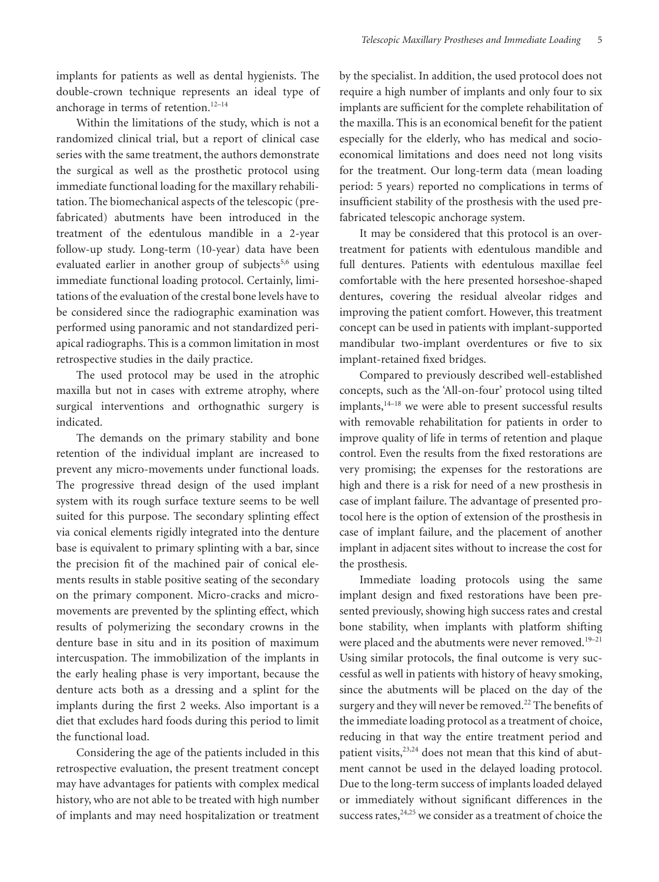implants for patients as well as dental hygienists. The double-crown technique represents an ideal type of anchorage in terms of retention. $12-14$ 

Within the limitations of the study, which is not a randomized clinical trial, but a report of clinical case series with the same treatment, the authors demonstrate the surgical as well as the prosthetic protocol using immediate functional loading for the maxillary rehabilitation. The biomechanical aspects of the telescopic (prefabricated) abutments have been introduced in the treatment of the edentulous mandible in a 2-year follow-up study. Long-term (10-year) data have been evaluated earlier in another group of subjects<sup>5,6</sup> using immediate functional loading protocol. Certainly, limitations of the evaluation of the crestal bone levels have to be considered since the radiographic examination was performed using panoramic and not standardized periapical radiographs. This is a common limitation in most retrospective studies in the daily practice.

The used protocol may be used in the atrophic maxilla but not in cases with extreme atrophy, where surgical interventions and orthognathic surgery is indicated.

The demands on the primary stability and bone retention of the individual implant are increased to prevent any micro-movements under functional loads. The progressive thread design of the used implant system with its rough surface texture seems to be well suited for this purpose. The secondary splinting effect via conical elements rigidly integrated into the denture base is equivalent to primary splinting with a bar, since the precision fit of the machined pair of conical elements results in stable positive seating of the secondary on the primary component. Micro-cracks and micromovements are prevented by the splinting effect, which results of polymerizing the secondary crowns in the denture base in situ and in its position of maximum intercuspation. The immobilization of the implants in the early healing phase is very important, because the denture acts both as a dressing and a splint for the implants during the first 2 weeks. Also important is a diet that excludes hard foods during this period to limit the functional load.

Considering the age of the patients included in this retrospective evaluation, the present treatment concept may have advantages for patients with complex medical history, who are not able to be treated with high number of implants and may need hospitalization or treatment by the specialist. In addition, the used protocol does not require a high number of implants and only four to six implants are sufficient for the complete rehabilitation of the maxilla. This is an economical benefit for the patient especially for the elderly, who has medical and socioeconomical limitations and does need not long visits for the treatment. Our long-term data (mean loading period: 5 years) reported no complications in terms of insufficient stability of the prosthesis with the used prefabricated telescopic anchorage system.

It may be considered that this protocol is an overtreatment for patients with edentulous mandible and full dentures. Patients with edentulous maxillae feel comfortable with the here presented horseshoe-shaped dentures, covering the residual alveolar ridges and improving the patient comfort. However, this treatment concept can be used in patients with implant-supported mandibular two-implant overdentures or five to six implant-retained fixed bridges.

Compared to previously described well-established concepts, such as the 'All-on-four' protocol using tilted implants,<sup>14–18</sup> we were able to present successful results with removable rehabilitation for patients in order to improve quality of life in terms of retention and plaque control. Even the results from the fixed restorations are very promising; the expenses for the restorations are high and there is a risk for need of a new prosthesis in case of implant failure. The advantage of presented protocol here is the option of extension of the prosthesis in case of implant failure, and the placement of another implant in adjacent sites without to increase the cost for the prosthesis.

Immediate loading protocols using the same implant design and fixed restorations have been presented previously, showing high success rates and crestal bone stability, when implants with platform shifting were placed and the abutments were never removed.<sup>19-21</sup> Using similar protocols, the final outcome is very successful as well in patients with history of heavy smoking, since the abutments will be placed on the day of the surgery and they will never be removed.<sup>22</sup> The benefits of the immediate loading protocol as a treatment of choice, reducing in that way the entire treatment period and patient visits,<sup>23,24</sup> does not mean that this kind of abutment cannot be used in the delayed loading protocol. Due to the long-term success of implants loaded delayed or immediately without significant differences in the success rates, $24,25$  we consider as a treatment of choice the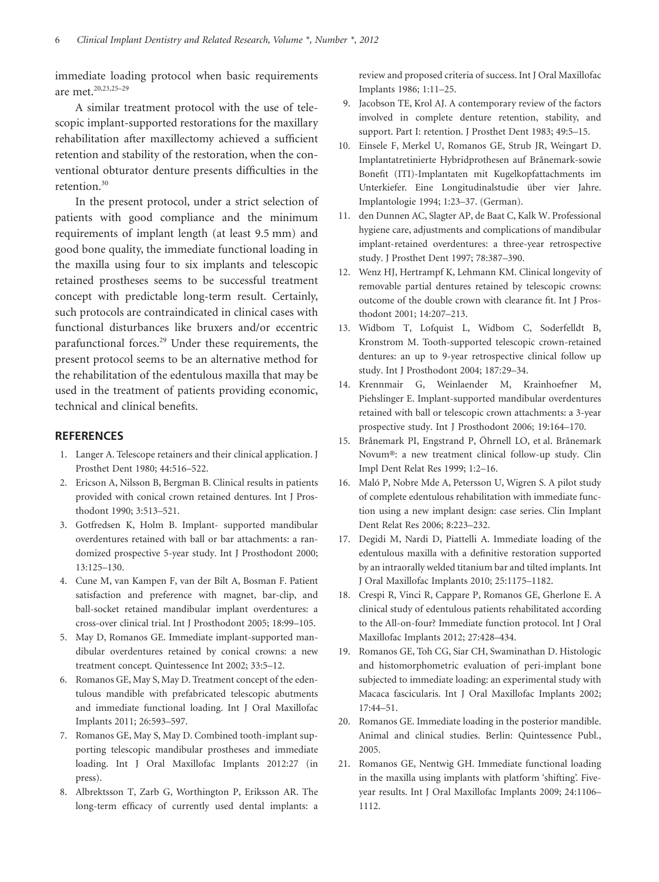immediate loading protocol when basic requirements are met.20,23,25–29

A similar treatment protocol with the use of telescopic implant-supported restorations for the maxillary rehabilitation after maxillectomy achieved a sufficient retention and stability of the restoration, when the conventional obturator denture presents difficulties in the retention.<sup>30</sup>

In the present protocol, under a strict selection of patients with good compliance and the minimum requirements of implant length (at least 9.5 mm) and good bone quality, the immediate functional loading in the maxilla using four to six implants and telescopic retained prostheses seems to be successful treatment concept with predictable long-term result. Certainly, such protocols are contraindicated in clinical cases with functional disturbances like bruxers and/or eccentric parafunctional forces.29 Under these requirements, the present protocol seems to be an alternative method for the rehabilitation of the edentulous maxilla that may be used in the treatment of patients providing economic, technical and clinical benefits.

## **REFERENCES**

- 1. Langer A. Telescope retainers and their clinical application. J Prosthet Dent 1980; 44:516–522.
- 2. Ericson A, Nilsson B, Bergman B. Clinical results in patients provided with conical crown retained dentures. Int J Prosthodont 1990; 3:513–521.
- 3. Gotfredsen K, Holm B. Implant- supported mandibular overdentures retained with ball or bar attachments: a randomized prospective 5-year study. Int J Prosthodont 2000; 13:125–130.
- 4. Cune M, van Kampen F, van der Bilt A, Bosman F. Patient satisfaction and preference with magnet, bar-clip, and ball-socket retained mandibular implant overdentures: a cross-over clinical trial. Int J Prosthodont 2005; 18:99–105.
- 5. May D, Romanos GE. Immediate implant-supported mandibular overdentures retained by conical crowns: a new treatment concept. Quintessence Int 2002; 33:5–12.
- 6. Romanos GE, May S, May D. Treatment concept of the edentulous mandible with prefabricated telescopic abutments and immediate functional loading. Int J Oral Maxillofac Implants 2011; 26:593–597.
- 7. Romanos GE, May S, May D. Combined tooth-implant supporting telescopic mandibular prostheses and immediate loading. Int J Oral Maxillofac Implants 2012:27 (in press).
- 8. Albrektsson T, Zarb G, Worthington P, Eriksson AR. The long-term efficacy of currently used dental implants: a

review and proposed criteria of success. Int J Oral Maxillofac Implants 1986; 1:11–25.

- 9. Jacobson TE, Krol AJ. A contemporary review of the factors involved in complete denture retention, stability, and support. Part I: retention. J Prosthet Dent 1983; 49:5–15.
- 10. Einsele F, Merkel U, Romanos GE, Strub JR, Weingart D. Implantatretinierte Hybridprothesen auf Brånemark-sowie Bonefit (ITI)-Implantaten mit Kugelkopfattachments im Unterkiefer. Eine Longitudinalstudie über vier Jahre. Implantologie 1994; 1:23–37. (German).
- 11. den Dunnen AC, Slagter AP, de Baat C, Kalk W. Professional hygiene care, adjustments and complications of mandibular implant-retained overdentures: a three-year retrospective study. J Prosthet Dent 1997; 78:387–390.
- 12. Wenz HJ, Hertrampf K, Lehmann KM. Clinical longevity of removable partial dentures retained by telescopic crowns: outcome of the double crown with clearance fit. Int J Prosthodont 2001; 14:207–213.
- 13. Widbom T, Lofquist L, Widbom C, Soderfelldt B, Kronstrom M. Tooth-supported telescopic crown-retained dentures: an up to 9-year retrospective clinical follow up study. Int J Prosthodont 2004; 187:29–34.
- 14. Krennmair G, Weinlaender M, Krainhoefner M, Piehslinger E. Implant-supported mandibular overdentures retained with ball or telescopic crown attachments: a 3-year prospective study. Int J Prosthodont 2006; 19:164–170.
- 15. Brånemark PI, Engstrand P, Öhrnell LO, et al. Brånemark Novum®: a new treatment clinical follow-up study. Clin Impl Dent Relat Res 1999; 1:2–16.
- 16. Maló P, Nobre Mde A, Petersson U, Wigren S. A pilot study of complete edentulous rehabilitation with immediate function using a new implant design: case series. Clin Implant Dent Relat Res 2006; 8:223–232.
- 17. Degidi M, Nardi D, Piattelli A. Immediate loading of the edentulous maxilla with a definitive restoration supported by an intraorally welded titanium bar and tilted implants. Int J Oral Maxillofac Implants 2010; 25:1175–1182.
- 18. Crespi R, Vinci R, Cappare P, Romanos GE, Gherlone E. A clinical study of edentulous patients rehabilitated according to the All-on-four? Immediate function protocol. Int J Oral Maxillofac Implants 2012; 27:428–434.
- 19. Romanos GE, Toh CG, Siar CH, Swaminathan D. Histologic and histomorphometric evaluation of peri-implant bone subjected to immediate loading: an experimental study with Macaca fascicularis. Int J Oral Maxillofac Implants 2002; 17:44–51.
- 20. Romanos GE. Immediate loading in the posterior mandible. Animal and clinical studies. Berlin: Quintessence Publ., 2005.
- 21. Romanos GE, Nentwig GH. Immediate functional loading in the maxilla using implants with platform 'shifting'. Fiveyear results. Int J Oral Maxillofac Implants 2009; 24:1106– 1112.